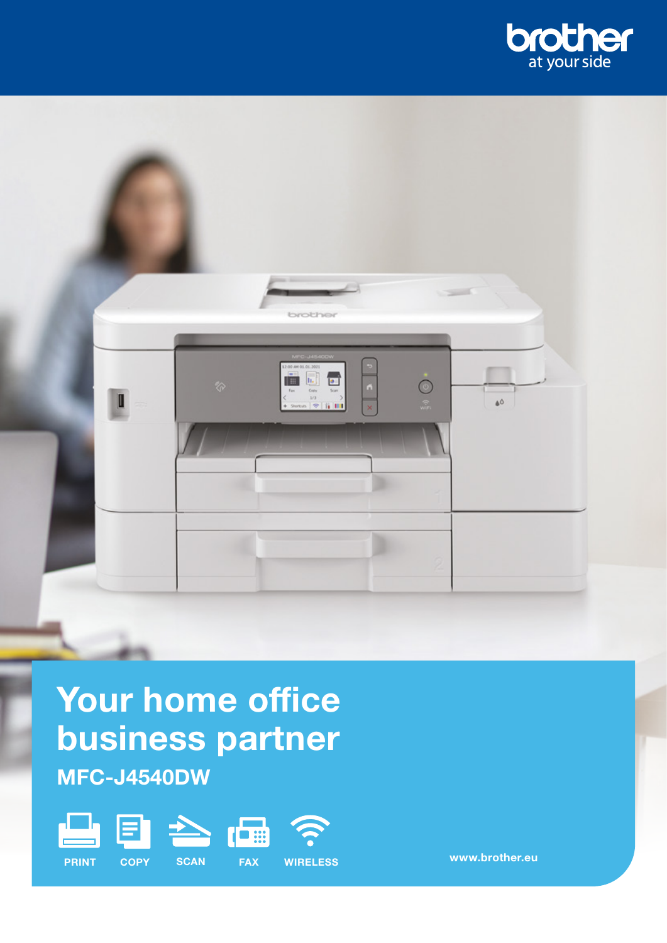



# Your home office business partner MFC-J4540DW









PRINT COPY SCAN FAX WIRELESS

www.brother.eu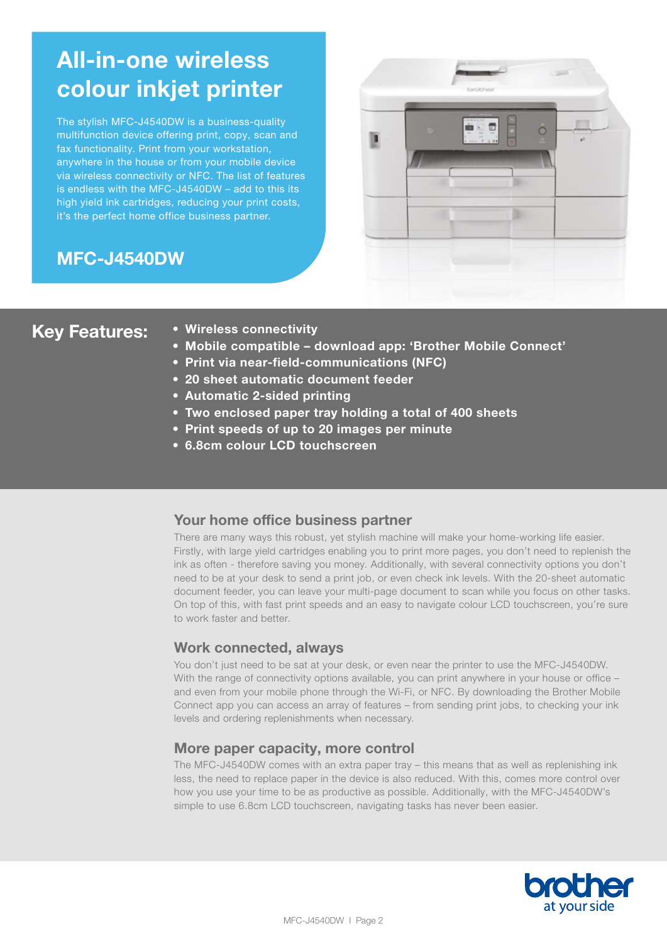## All-in-one wireless colour inkjet printer

The stylish MFC-J4540DW is a business-quality multifunction device offering print, copy, scan and fax functionality. Print from your workstation, anywhere in the house or from your mobile device via wireless connectivity or NFC. The list of features is endless with the MFC-J4540DW – add to this its high yield ink cartridges, reducing your print costs, it's the perfect home office business partner.

## MFC-J4540DW



- Key Features: Wireless connectivity
	- Mobile compatible download app: 'Brother Mobile Connect'
	- Print via near-field-communications (NFC)
	- 20 sheet automatic document feeder
	- Automatic 2-sided printing
	- Two enclosed paper tray holding a total of 400 sheets
	- Print speeds of up to 20 images per minute
	- 6.8cm colour LCD touchscreen

### Your home office business partner

There are many ways this robust, yet stylish machine will make your home-working life easier. Firstly, with large yield cartridges enabling you to print more pages, you don't need to replenish the ink as often - therefore saving you money. Additionally, with several connectivity options you don't need to be at your desk to send a print job, or even check ink levels. With the 20-sheet automatic document feeder, you can leave your multi-page document to scan while you focus on other tasks. On top of this, with fast print speeds and an easy to navigate colour LCD touchscreen, you're sure to work faster and better.

### Work connected, always

You don't just need to be sat at your desk, or even near the printer to use the MFC-J4540DW. With the range of connectivity options available, you can print anywhere in your house or office – and even from your mobile phone through the Wi-Fi, or NFC. By downloading the Brother Mobile Connect app you can access an array of features – from sending print jobs, to checking your ink levels and ordering replenishments when necessary.

### More paper capacity, more control

The MFC-J4540DW comes with an extra paper tray – this means that as well as replenishing ink less, the need to replace paper in the device is also reduced. With this, comes more control over how you use your time to be as productive as possible. Additionally, with the MFC-J4540DW's simple to use 6.8cm LCD touchscreen, navigating tasks has never been easier.

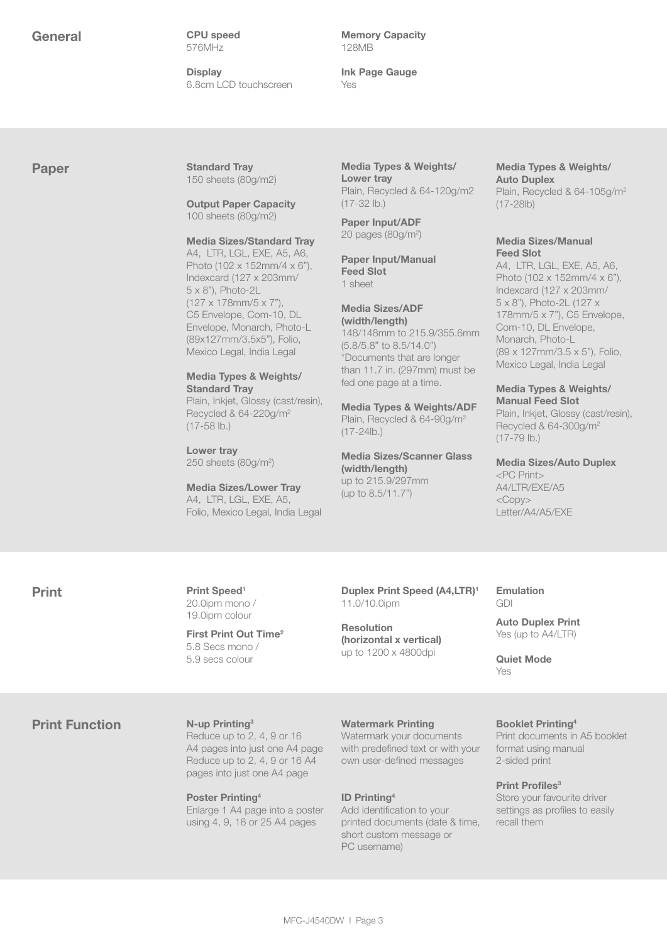General CPU speed 576MHz

> **Display** 6.8cm LCD touchscreen

Memory Capacity 128MB

Ink Page Gauge Yes

Paper Standard Tray 150 sheets (80g/m2)

> Output Paper Capacity 100 sheets (80g/m2)

Media Sizes/Standard Tray

A4, LTR, LGL, EXE, A5, A6, Photo (102 x 152mm/4 x 6"), Indexcard (127 x 203mm/ 5 x 8"), Photo-2L (127 x 178mm/5 x 7"), C5 Envelope, Com-10, DL Envelope, Monarch, Photo-L (89x127mm/3.5x5"), Folio, Mexico Legal, India Legal

#### Media Types & Weights/ Standard Tray Plain, Inkjet, Glossy (cast/resin), Recycled & 64-220g/m2

Lower tray 250 sheets (80g/m<sup>2</sup>)

 $(17 - 58$  lb.)

Media Sizes/Lower Tray A4, LTR, LGL, EXE, A5, Folio, Mexico Legal, India Legal

Media Types & Weights/ Lower tray Plain, Recycled & 64-120g/m2 (17-32 lb.)

Paper Input/ADF 20 pages (80g/m2 )

Paper Input/Manual Feed Slot 1 sheet

#### Media Sizes/ADF (width/length)

148/148mm to 215.9/355.6mm (5.8/5.8" to 8.5/14.0") \*Documents that are longer than 11.7 in. (297mm) must be fed one page at a time.

Media Types & Weights/ADF Plain, Recycled & 64-90g/m2 (17-24lb.)

Media Sizes/Scanner Glass (width/length) up to 215.9/297mm (up to 8.5/11.7")

#### Media Types & Weights/ Auto Duplex

Plain, Recycled & 64-105g/m2 (17-28lb)

#### Media Sizes/Manual Feed Slot

A4, LTR, LGL, EXE, A5, A6, Photo (102 x 152mm/4 x 6"), Indexcard (127 x 203mm/ 5 x 8"), Photo-2L (127 x 178mm/5 x 7"), C5 Envelope, Com-10, DL Envelope, Monarch, Photo-L (89 x 127mm/3.5 x 5"), Folio, Mexico Legal, India Legal

#### Media Types & Weights/ Manual Feed Slot

Plain, Inkjet, Glossy (cast/resin), Recycled & 64-300g/m2 (17-79 lb.)

Media Sizes/Auto Duplex <PC Print> A4/LTR/EXE/A5  $<$ Copy $>$ Letter/A4/A5/EXE

Print Print Speed<sup>1</sup> 20.0ipm mono / 19.0ipm colour

> First Print Out Time<sup>2</sup> 5.8 Secs mono / 5.9 secs colour

Duplex Print Speed (A4,LTR)<sup>1</sup> 11.0/10.0ipm

Resolution (horizontal x vertical) up to 1200 x 4800dpi

#### Emulation GDI

Auto Duplex Print Yes (up to A4/LTR)

Quiet Mode Yes

### **Print Function** N-up Printing<sup>3</sup>

Reduce up to 2, 4, 9 or 16 A4 pages into just one A4 page Reduce up to 2, 4, 9 or 16 A4 pages into just one A4 page

Poster Printing4 Enlarge 1 A4 page into a poster using 4, 9, 16 or 25 A4 pages

Watermark Printing

Watermark your documents with predefined text or with your own user-defined messages

#### ID Printing4

Add identification to your printed documents (date & time, short custom message or PC username)

#### Booklet Printing4

Print documents in A5 booklet format using manual 2-sided print

Print Profiles<sup>3</sup>

Store your favourite driver settings as profiles to easily recall them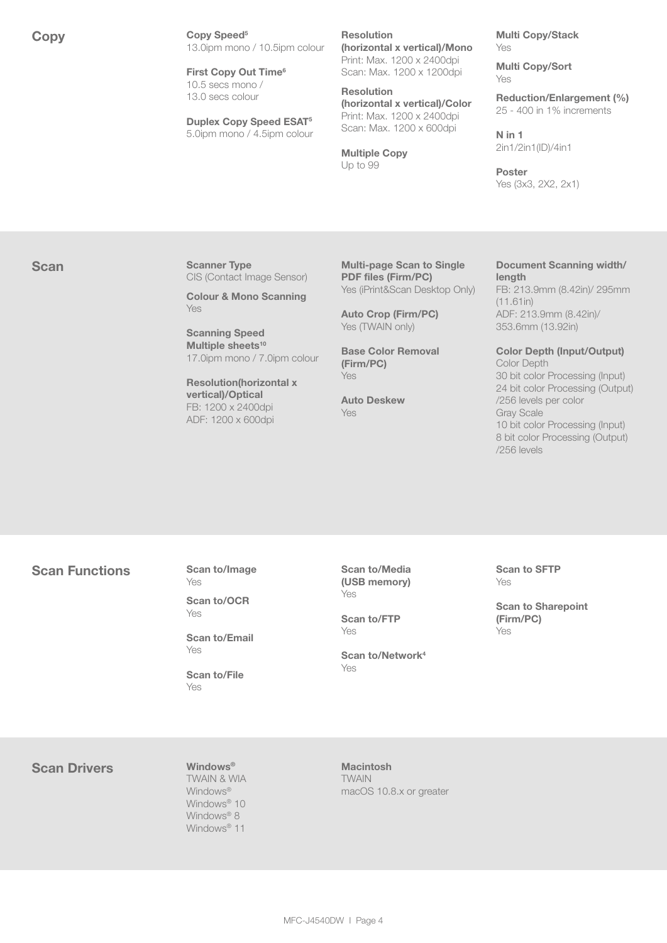Copy Copy Speed<sup>5</sup> 13.0ipm mono / 10.5ipm colour

> First Copy Out Time<sup>6</sup> 10.5 secs mono / 13.0 secs colour

Duplex Copy Speed ESAT5 5.0ipm mono / 4.5ipm colour Resolution

(horizontal x vertical)/Mono Print: Max. 1200 x 2400dpi Scan: Max. 1200 x 1200dpi

Resolution (horizontal x vertical)/Color Print: Max. 1200 x 2400dpi Scan: Max. 1200 x 600dpi

Multiple Copy Up to 99

Multi Copy/Stack Yes

Multi Copy/Sort Yes

Reduction/Enlargement (%) 25 - 400 in 1% increments

N in 1 2in1/2in1(ID)/4in1

Poster Yes (3x3, 2X2, 2x1)

Scan Scanner Type CIS (Contact Image Sensor)

> Colour & Mono Scanning Yes

Scanning Speed Multiple sheets<sup>10</sup> 17.0ipm mono / 7.0ipm colour

Resolution(horizontal x vertical)/Optical FB: 1200 x 2400dpi ADF: 1200 x 600dpi

Multi-page Scan to Single PDF files (Firm/PC) Yes (iPrint&Scan Desktop Only)

Auto Crop (Firm/PC) Yes (TWAIN only)

Base Color Removal (Firm/PC) Yes

Auto Deskew Yes

#### Document Scanning width/ length

FB: 213.9mm (8.42in)/ 295mm (11.61in) ADF: 213.9mm (8.42in)/ 353.6mm (13.92in)

Color Depth (Input/Output) Color Depth 30 bit color Processing (Input) 24 bit color Processing (Output) /256 levels per color Gray Scale 10 bit color Processing (Input)

8 bit color Processing (Output)

#### Scan Functions Scan to/Image Yes

Scan to/OCR Yes

Scan to/Email Yes

Scan to/File Yes

Scan to/Media (USB memory) Yes

Scan to/FTP Yes

Scan to/Network4 Yes

Scan to SFTP Yes

/256 levels

Scan to Sharepoint (Firm/PC) Yes

Scan Drivers Windows®

TWAIN & WIA Windows<sup>®</sup> Windows<sup>®</sup> 10 Windows<sup>®</sup> 8 Windows<sup>®</sup> 11

Macintosh **TWAIN** macOS 10.8.x or greater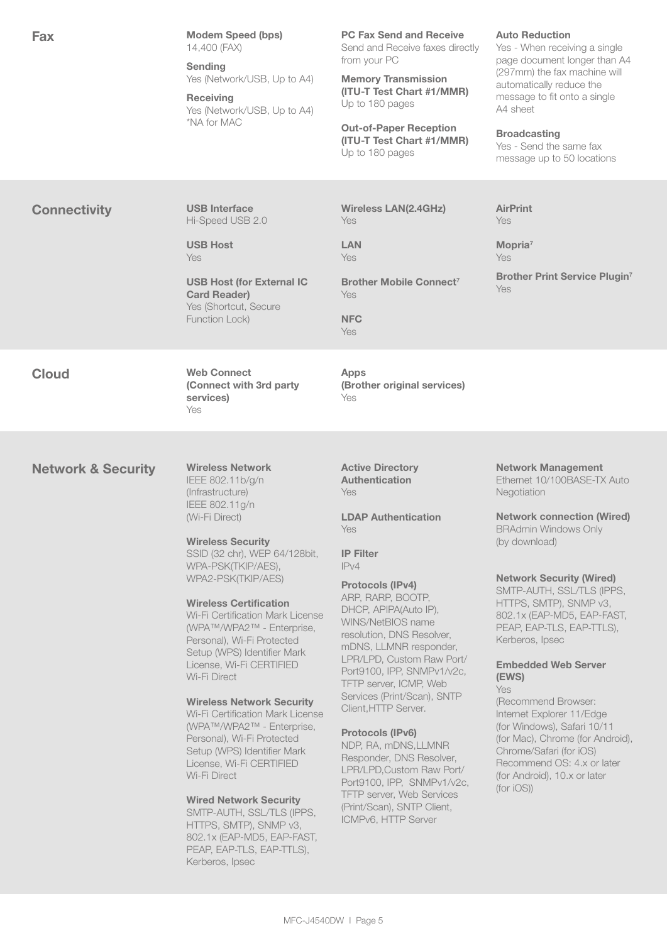| <b>Fax</b>                    | <b>Modem Speed (bps)</b><br>14,400 (FAX)<br><b>Sending</b><br>Yes (Network/USB, Up to A4)<br><b>Receiving</b><br>Yes (Network/USB, Up to A4)<br>*NA for MAC                                                                                                                                                                                                                                                                                                                                                                                                                                                                                                                                                                                                                                                 | <b>PC Fax Send and Receive</b><br>Send and Receive faxes directly<br>from your PC<br><b>Memory Transmission</b><br>(ITU-T Test Chart #1/MMR)<br>Up to 180 pages<br><b>Out-of-Paper Reception</b><br>(ITU-T Test Chart #1/MMR)<br>Up to 180 pages                                                                                                                                                                                                                                                                                                                                                                                              | <b>Auto Reduction</b><br>Yes - When receiving a single<br>page document longer than A4<br>(297mm) the fax machine will<br>automatically reduce the<br>message to fit onto a single<br>A4 sheet<br><b>Broadcasting</b><br>Yes - Send the same fax<br>message up to 50 locations                                                                                                                                                                                                                                                                                                                                          |
|-------------------------------|-------------------------------------------------------------------------------------------------------------------------------------------------------------------------------------------------------------------------------------------------------------------------------------------------------------------------------------------------------------------------------------------------------------------------------------------------------------------------------------------------------------------------------------------------------------------------------------------------------------------------------------------------------------------------------------------------------------------------------------------------------------------------------------------------------------|-----------------------------------------------------------------------------------------------------------------------------------------------------------------------------------------------------------------------------------------------------------------------------------------------------------------------------------------------------------------------------------------------------------------------------------------------------------------------------------------------------------------------------------------------------------------------------------------------------------------------------------------------|-------------------------------------------------------------------------------------------------------------------------------------------------------------------------------------------------------------------------------------------------------------------------------------------------------------------------------------------------------------------------------------------------------------------------------------------------------------------------------------------------------------------------------------------------------------------------------------------------------------------------|
| <b>Connectivity</b>           | <b>USB Interface</b><br>Hi-Speed USB 2.0<br><b>USB Host</b><br><b>Yes</b><br><b>USB Host (for External IC</b><br><b>Card Reader)</b><br>Yes (Shortcut, Secure<br>Function Lock)                                                                                                                                                                                                                                                                                                                                                                                                                                                                                                                                                                                                                             | <b>Wireless LAN(2.4GHz)</b><br><b>Yes</b><br><b>LAN</b><br><b>Yes</b><br>Brother Mobile Connect <sup>7</sup><br><b>Yes</b><br><b>NFC</b><br><b>Yes</b>                                                                                                                                                                                                                                                                                                                                                                                                                                                                                        | <b>AirPrint</b><br>Yes<br>Mopria <sup>7</sup><br><b>Yes</b><br><b>Brother Print Service Plugin7</b><br>Yes                                                                                                                                                                                                                                                                                                                                                                                                                                                                                                              |
| <b>Cloud</b>                  | <b>Web Connect</b><br>(Connect with 3rd party<br>services)<br>Yes                                                                                                                                                                                                                                                                                                                                                                                                                                                                                                                                                                                                                                                                                                                                           | <b>Apps</b><br>(Brother original services)<br>Yes                                                                                                                                                                                                                                                                                                                                                                                                                                                                                                                                                                                             |                                                                                                                                                                                                                                                                                                                                                                                                                                                                                                                                                                                                                         |
| <b>Network &amp; Security</b> | <b>Wireless Network</b><br>IEEE 802.11b/g/n<br>(Infrastructure)<br>IEEE 802.11g/n<br>(Wi-Fi Direct)<br><b>Wireless Security</b><br>SSID (32 chr), WEP 64/128bit,<br>WPA-PSK(TKIP/AES),<br>WPA2-PSK(TKIP/AES)<br><b>Wireless Certification</b><br>Wi-Fi Certification Mark License<br>(WPA™/WPA2™ - Enterprise,<br>Personal), Wi-Fi Protected<br>Setup (WPS) Identifier Mark<br>License, Wi-Fi CERTIFIED<br>Wi-Fi Direct<br><b>Wireless Network Security</b><br>Wi-Fi Certification Mark License<br>(WPA™/WPA2™ - Enterprise,<br>Personal), Wi-Fi Protected<br>Setup (WPS) Identifier Mark<br>License, Wi-Fi CERTIFIED<br>Wi-Fi Direct<br><b>Wired Network Security</b><br>SMTP-AUTH, SSL/TLS (IPPS,<br>HTTPS, SMTP), SNMP v3,<br>802.1x (EAP-MD5, EAP-FAST,<br>PEAP, EAP-TLS, EAP-TTLS),<br>Kerberos, Ipsec | <b>Active Directory</b><br><b>Authentication</b><br>Yes<br><b>LDAP Authentication</b><br>Yes<br><b>IP Filter</b><br>IPv4<br><b>Protocols (IPv4)</b><br>ARP, RARP, BOOTP,<br>DHCP, APIPA(Auto IP),<br>WINS/NetBIOS name<br>resolution, DNS Resolver,<br>mDNS, LLMNR responder,<br>LPR/LPD, Custom Raw Port/<br>Port9100, IPP, SNMPv1/v2c,<br>TFTP server, ICMP, Web<br>Services (Print/Scan), SNTP<br>Client, HTTP Server.<br>Protocols (IPv6)<br>NDP, RA, mDNS,LLMNR<br>Responder, DNS Resolver,<br>LPR/LPD, Custom Raw Port/<br>Port9100, IPP, SNMPv1/v2c,<br>TFTP server, Web Services<br>(Print/Scan), SNTP Client,<br>ICMPv6, HTTP Server | <b>Network Management</b><br>Ethernet 10/100BASE-TX Auto<br>Negotiation<br><b>Network connection (Wired)</b><br><b>BRAdmin Windows Only</b><br>(by download)<br><b>Network Security (Wired)</b><br>SMTP-AUTH, SSL/TLS (IPPS,<br>HTTPS, SMTP), SNMP v3,<br>802.1x (EAP-MD5, EAP-FAST,<br>PEAP, EAP-TLS, EAP-TTLS),<br>Kerberos, Ipsec<br><b>Embedded Web Server</b><br>(EWS)<br><b>Yes</b><br>(Recommend Browser:<br>Internet Explorer 11/Edge<br>(for Windows), Safari 10/11<br>(for Mac), Chrome (for Android),<br>Chrome/Safari (for iOS)<br>Recommend OS: 4.x or later<br>(for Android), 10.x or later<br>(for IOS)) |